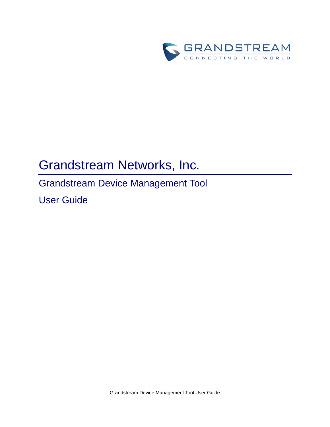

# Grandstream Networks, Inc.

# Grandstream Device Management Tool

User Guide

Grandstream Device Management Tool User Guide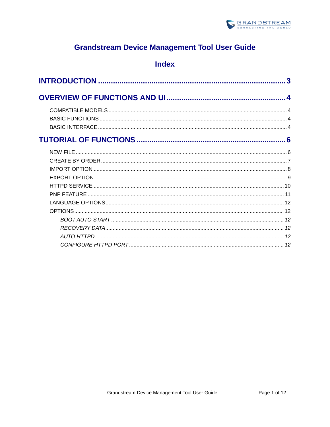

# **Grandstream Device Management Tool User Guide**

# **Index**

| 3   |
|-----|
|     |
|     |
|     |
|     |
| . 6 |
|     |
|     |
|     |
|     |
|     |
|     |
|     |
|     |
|     |
|     |
|     |
|     |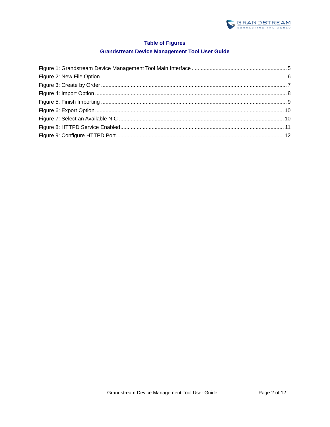

### **Table of Figures**

#### **Grandstream Device Management Tool User Guide**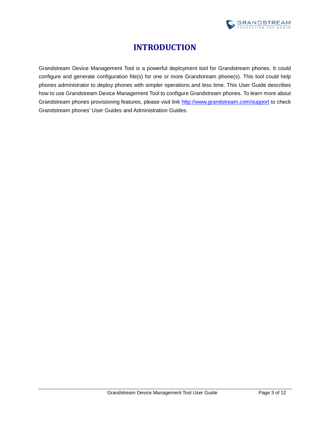

# **INTRODUCTION**

<span id="page-3-0"></span>Grandstream Device Management Tool is a powerful deployment tool for Grandstream phones. It could configure and generate configuration file(s) for one or more Grandstream phone(s). This tool could help phones administrator to deploy phones with simpler operations and less time. This User Guide describes how to use Grandstream Device Management Tool to configure Grandstream phones. To learn more about Grandstream phones provisioning features, please visit link<http://www.grandstream.com/support> to check Grandstream phones' User Guides and Administration Guides.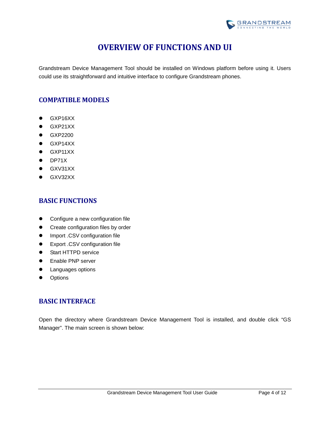

# **OVERVIEW OF FUNCTIONS AND UI**

<span id="page-4-0"></span>Grandstream Device Management Tool should be installed on Windows platform before using it. Users could use its straightforward and intuitive interface to configure Grandstream phones.

### <span id="page-4-1"></span>**COMPATIBLE MODELS**

- **•** GXP16XX
- $\bullet$  GXP21XX
- **•** GXP2200
- **•** GXP14XX
- **•** GXP11XX
- **•** DP71X
- **•** GXV31XX
- **GXV32XX**

### <span id="page-4-2"></span>**BASIC FUNCTIONS**

- **•** Configure a new configuration file
- **•** Create configuration files by order
- **•** Import .CSV configuration file
- Export .CSV configuration file
- **•** Start HTTPD service
- **•** Enable PNP server
- **•** Languages options
- **•** Options

### <span id="page-4-3"></span>**BASIC INTERFACE**

Open the directory where Grandstream Device Management Tool is installed, and double click "GS Manager". The main screen is shown below: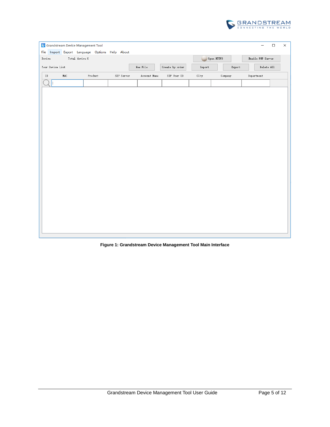

| File             | Grandstream Device Management Tool<br>Import Export Language Options Help About |                |  |            |              |              |                 |                |            |            | $\qquad \qquad -$ | $\Box$     | $\times$ |
|------------------|---------------------------------------------------------------------------------|----------------|--|------------|--------------|--------------|-----------------|----------------|------------|------------|-------------------|------------|----------|
| ${\tt Device}$   |                                                                                 | Total device:0 |  |            |              |              |                 |                | Open HTTPD |            | Enable PNP Server |            |          |
| Your Device List |                                                                                 |                |  |            | $New$ $File$ |              | Create by order | ${\tt Import}$ |            | Export     |                   | Delete All |          |
| ${\tt ID}$       | $\mathtt{MAC}$                                                                  | $\rm Product$  |  | SIP Server |              | Account Name | SIP User ID     | City           |            | $Comp$ any | Department        |            |          |
|                  |                                                                                 |                |  |            |              |              |                 |                |            |            |                   |            |          |
|                  |                                                                                 |                |  |            |              |              |                 |                |            |            |                   |            |          |
|                  |                                                                                 |                |  |            |              |              |                 |                |            |            |                   |            |          |
|                  |                                                                                 |                |  |            |              |              |                 |                |            |            |                   |            |          |
|                  |                                                                                 |                |  |            |              |              |                 |                |            |            |                   |            |          |
|                  |                                                                                 |                |  |            |              |              |                 |                |            |            |                   |            |          |
|                  |                                                                                 |                |  |            |              |              |                 |                |            |            |                   |            |          |
|                  |                                                                                 |                |  |            |              |              |                 |                |            |            |                   |            |          |
|                  |                                                                                 |                |  |            |              |              |                 |                |            |            |                   |            |          |
|                  |                                                                                 |                |  |            |              |              |                 |                |            |            |                   |            |          |
|                  |                                                                                 |                |  |            |              |              |                 |                |            |            |                   |            |          |
|                  |                                                                                 |                |  |            |              |              |                 |                |            |            |                   |            |          |
|                  |                                                                                 |                |  |            |              |              |                 |                |            |            |                   |            |          |
|                  |                                                                                 |                |  |            |              |              |                 |                |            |            |                   |            |          |
|                  |                                                                                 |                |  |            |              |              |                 |                |            |            |                   |            |          |
|                  |                                                                                 |                |  |            |              |              |                 |                |            |            |                   |            |          |
|                  |                                                                                 |                |  |            |              |              |                 |                |            |            |                   |            |          |
|                  |                                                                                 |                |  |            |              |              |                 |                |            |            |                   |            |          |

<span id="page-5-0"></span>**Figure 1: Grandstream Device Management Tool Main Interface**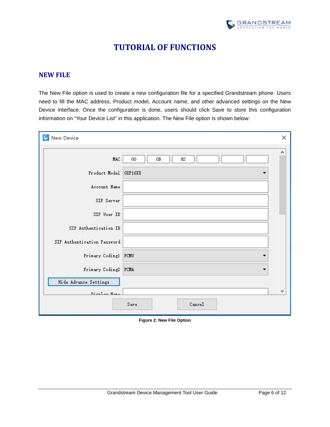

# **TUTORIAL OF FUNCTIONS**

#### <span id="page-6-1"></span><span id="page-6-0"></span>**NEW FILE**

The New File option is used to create a new configuration file for a specified Grandstream phone. Users need to fill the MAC address, Product model, Account name, and other advanced settings on the New Device interface. Once the configuration is done, users should click Save to store this configuration information on "Your Device List" in this application. The New File option is shown below:

| New Device                  |                | × |
|-----------------------------|----------------|---|
| <b>MAC</b>                  | 00<br>OB<br>82 | ۸ |
| Product Model GXP16XX       |                |   |
| Account Name                |                |   |
| SIP Server                  |                |   |
| SIP User ID                 |                |   |
| SIP Authentication ID       |                |   |
| SIP Authentication Password |                |   |
| Primary Coding1 PCMU        |                |   |
| Primary Coding2 PCMA        |                |   |
| Hide Advance Settings       |                |   |
| D                           |                | v |
|                             | Cancel<br>Save |   |

<span id="page-6-2"></span>**Figure 2: New File Option**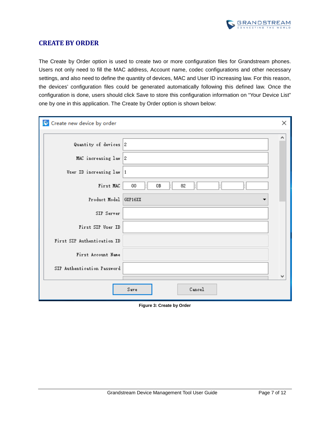

#### <span id="page-7-0"></span>**CREATE BY ORDER**

The Create by Order option is used to create two or more configuration files for Grandstream phones. Users not only need to fill the MAC address, Account name, codec configurations and other necessary settings, and also need to define the quantity of devices, MAC and User ID increasing law. For this reason, the devices' configuration files could be generated automatically following this defined law. Once the configuration is done, users should click Save to store this configuration information on "Your Device List" one by one in this application. The Create by Order option is shown below:

| Create new device by order  | ×                   |
|-----------------------------|---------------------|
|                             | ∧                   |
| Quantity of devices 2       |                     |
| MAC increasing law 2        |                     |
| User ID increasing law      | 1                   |
| First MAC                   | 0B<br>82<br>00      |
| Product Model GXP16XX       |                     |
| SIP Server                  |                     |
| First SIP User ID           |                     |
| First SIP Authentication ID |                     |
| First Account Name          |                     |
| SIP Authentication Password |                     |
|                             | v<br>Cancel<br>Save |

<span id="page-7-1"></span>**Figure 3: Create by Order**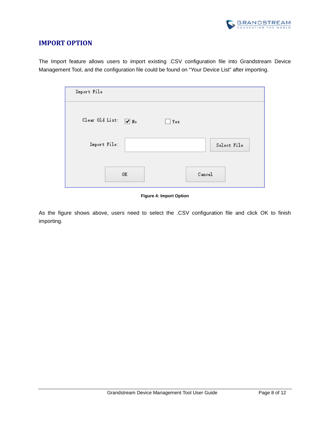

### <span id="page-8-0"></span>**IMPORT OPTION**

The Import feature allows users to import existing .CSV configuration file into Grandstream Device Management Tool, and the configuration file could be found on "Your Device List" after importing.

| Import File     |            |     |        |             |
|-----------------|------------|-----|--------|-------------|
| Clear Old List: | $\sqrt{N}$ | Yes |        |             |
| Import File:    |            |     |        | Select File |
|                 | 0K         |     | Cancel |             |

#### **Figure 4: Import Option**

<span id="page-8-1"></span>As the figure shows above, users need to select the .CSV configuration file and click OK to finish importing.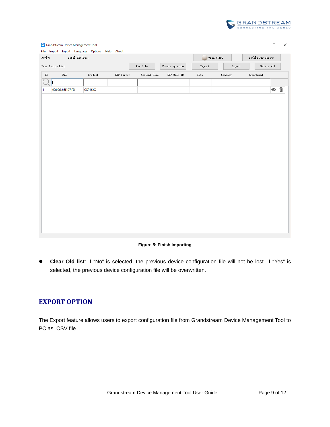

|                | Grandstream Device Management Tool<br>File Import Export Language Options Help About |               |            |              |                             |            |            | $\qquad \qquad -$ | $\Box$                          | $\times$ |
|----------------|--------------------------------------------------------------------------------------|---------------|------------|--------------|-----------------------------|------------|------------|-------------------|---------------------------------|----------|
| ${\tt Device}$ | Total device:1                                                                       |               |            |              |                             | Open HTTPD |            | Enable PNP Server |                                 |          |
|                | Your Device List                                                                     |               |            | New File     | Create by order             | Import     | Export     | Delete All        |                                 |          |
| ${\tt ID}$     | $\texttt{MAC}$                                                                       | $\rm Product$ | SIP Server | Account Name | ${\tt SIP}$ User ${\tt ID}$ | City       | $Comp$ any | Department        |                                 |          |
|                |                                                                                      |               |            |              |                             |            |            |                   |                                 |          |
| 1              | 00:0B:82:5F:D7:FD                                                                    | GXP16XX       |            |              |                             |            |            |                   | $\circ$ $\overline{\mathbb{I}}$ |          |
|                |                                                                                      |               |            |              |                             |            |            |                   |                                 |          |
|                |                                                                                      |               |            |              |                             |            |            |                   |                                 |          |
|                |                                                                                      |               |            |              |                             |            |            |                   |                                 |          |
|                |                                                                                      |               |            |              |                             |            |            |                   |                                 |          |
|                |                                                                                      |               |            |              |                             |            |            |                   |                                 |          |
|                |                                                                                      |               |            |              |                             |            |            |                   |                                 |          |
|                |                                                                                      |               |            |              |                             |            |            |                   |                                 |          |
|                |                                                                                      |               |            |              |                             |            |            |                   |                                 |          |
|                |                                                                                      |               |            |              |                             |            |            |                   |                                 |          |
|                |                                                                                      |               |            |              |                             |            |            |                   |                                 |          |
|                |                                                                                      |               |            |              |                             |            |            |                   |                                 |          |
|                |                                                                                      |               |            |              |                             |            |            |                   |                                 |          |
|                |                                                                                      |               |            |              |                             |            |            |                   |                                 |          |
|                |                                                                                      |               |            |              |                             |            |            |                   |                                 |          |
|                |                                                                                      |               |            |              |                             |            |            |                   |                                 |          |
|                |                                                                                      |               |            |              |                             |            |            |                   |                                 |          |
|                |                                                                                      |               |            |              |                             |            |            |                   |                                 |          |
|                |                                                                                      |               |            |              |                             |            |            |                   |                                 |          |

**Figure 5: Finish Importing**

<span id="page-9-1"></span> **Clear Old list**: If "No" is selected, the previous device configuration file will not be lost. If "Yes" is selected, the previous device configuration file will be overwritten.

### <span id="page-9-0"></span>**EXPORT OPTION**

The Export feature allows users to export configuration file from Grandstream Device Management Tool to PC as .CSV file.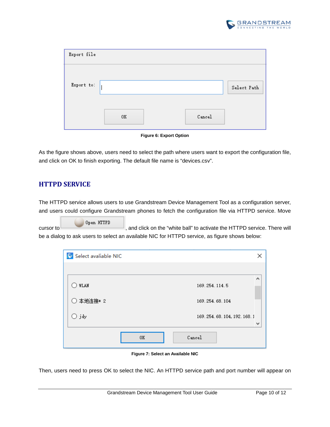

| Export file |    |        |             |
|-------------|----|--------|-------------|
| Export to:  |    |        | Select Path |
|             | 0K | Cancel |             |



<span id="page-10-1"></span>As the figure shows above, users need to select the path where users want to export the configuration file, and click on OK to finish exporting. The default file name is "devices.csv".

### <span id="page-10-0"></span>**HTTPD SERVICE**

The HTTPD service allows users to use Grandstream Device Management Tool as a configuration server, and users could configure Grandstream phones to fetch the configuration file via HTTPD service. Move

Open HTTPD cursor to , and click on the "white ball" to activate the HTTPD service. There will be a dialog to ask users to select an available NIC for HTTPD service, as figure shows below:

| S Select avaliable NIC |    |                          |              |
|------------------------|----|--------------------------|--------------|
|                        |    |                          |              |
| WLAN                   |    | 169.254.114.5            | ́            |
| ○ 本地连接* 2              |    | 169.254.68.104           |              |
| $\bigcirc$ jdy         |    | 169.254.68.104,192.168.1 | $\checkmark$ |
|                        | 0K | Cancel                   |              |

**Figure 7: Select an Available NIC**

<span id="page-10-2"></span>Then, users need to press OK to select the NIC. An HTTPD service path and port number will appear on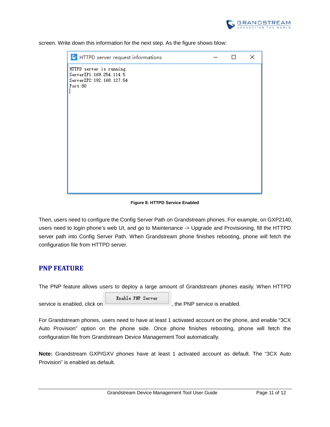

| S HTTPD server request informations                                                        | п | × |
|--------------------------------------------------------------------------------------------|---|---|
| HTTPD server is running.<br>ServerIP1:169.254.114.5<br>ServerIP2:192.168.127.54<br>Port:80 |   |   |
|                                                                                            |   |   |

screen. Write down this information for the next step. As the figure shows blow:

#### **Figure 8: HTTPD Service Enabled**

<span id="page-11-1"></span>Then, users need to configure the Config Server Path on Grandstream phones. For example, on GXP2140, users need to login phone's web UI, and go to Maintenance -> Upgrade and Provisioning, fill the HTTPD server path into Config Server Path. When Grandstream phone finishes rebooting, phone will fetch the configuration file from HTTPD server.

#### <span id="page-11-0"></span>**PNP FEATURE**

The PNP feature allows users to deploy a large amount of Grandstream phones easily. When HTTPD

Enable PNP Server service is enabled, click on  $\overline{\phantom{a}}$ , the PNP service is enabled.

For Grandstream phones, users need to have at least 1 activated account on the phone, and enable "3CX Auto Provision" option on the phone side. Once phone finishes rebooting, phone will fetch the configuration file from Grandstream Device Management Tool automatically.

**Note:** Grandstream GXP/GXV phones have at least 1 activated account as default. The "3CX Auto Provision" is enabled as default.